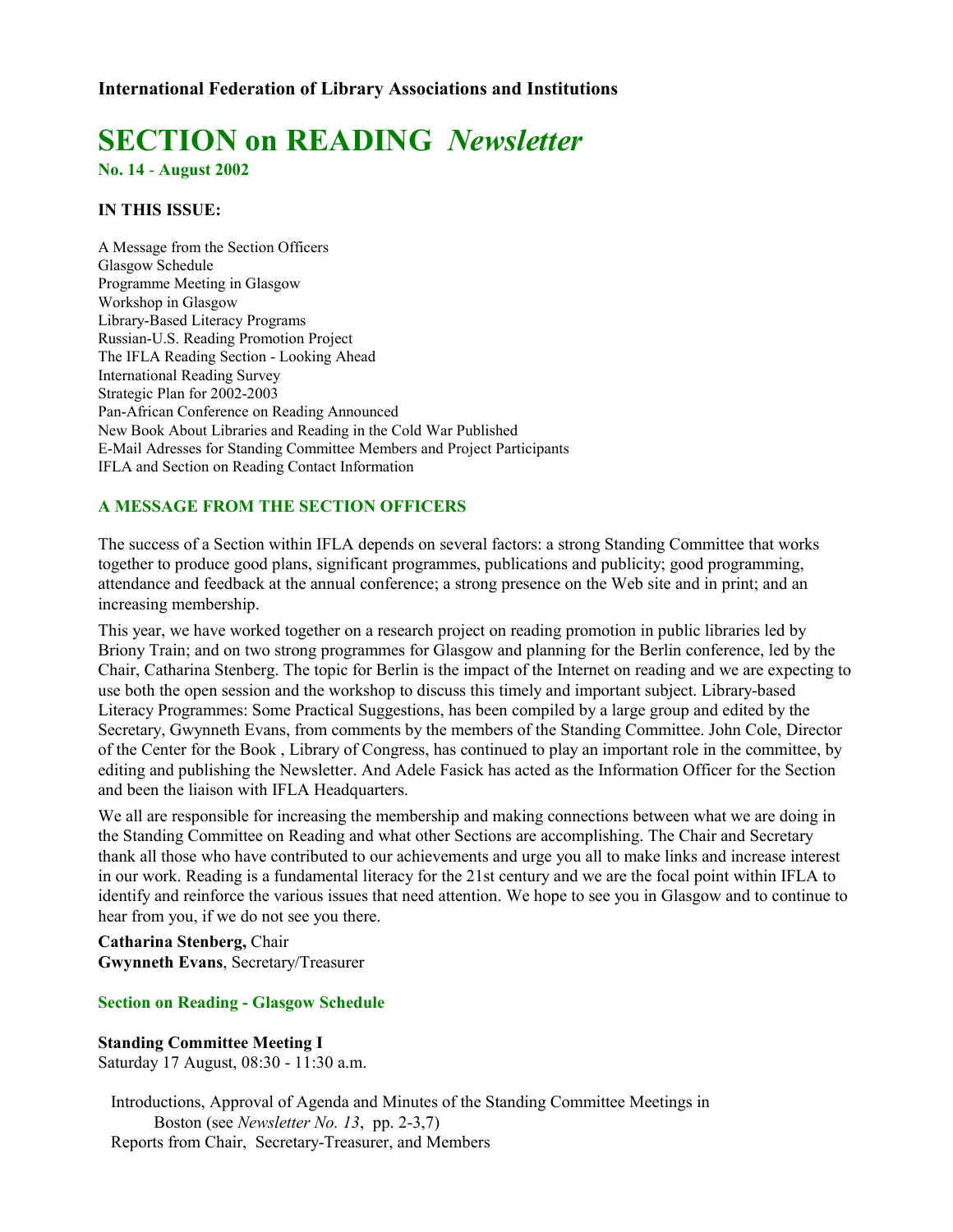# **SECTION on READING** *Newsletter*

**No. 14** - **August 2002**

# **IN THIS ISSUE:**

A Message from the Section Officers Glasgow Schedule Programme Meeting in Glasgow Workshop in Glasgow Library-Based Literacy Programs Russian-U.S. Reading Promotion Project The IFLA Reading Section - Looking Ahead International Reading Survey Strategic Plan for 2002-2003 Pan-African Conference on Reading Announced New Book About Libraries and Reading in the Cold War Published E-Mail Adresses for Standing Committee Members and Project Participants IFLA and Section on Reading Contact Information

# **A MESSAGE FROM THE SECTION OFFICERS**

The success of a Section within IFLA depends on several factors: a strong Standing Committee that works together to produce good plans, significant programmes, publications and publicity; good programming, attendance and feedback at the annual conference; a strong presence on the Web site and in print; and an increasing membership.

This year, we have worked together on a research project on reading promotion in public libraries led by Briony Train; and on two strong programmes for Glasgow and planning for the Berlin conference, led by the Chair, Catharina Stenberg. The topic for Berlin is the impact of the Internet on reading and we are expecting to use both the open session and the workshop to discuss this timely and important subject. Library-based Literacy Programmes: Some Practical Suggestions, has been compiled by a large group and edited by the Secretary, Gwynneth Evans, from comments by the members of the Standing Committee. John Cole, Director of the Center for the Book , Library of Congress, has continued to play an important role in the committee, by editing and publishing the Newsletter. And Adele Fasick has acted as the Information Officer for the Section and been the liaison with IFLA Headquarters.

We all are responsible for increasing the membership and making connections between what we are doing in the Standing Committee on Reading and what other Sections are accomplishing. The Chair and Secretary thank all those who have contributed to our achievements and urge you all to make links and increase interest in our work. Reading is a fundamental literacy for the 21st century and we are the focal point within IFLA to identify and reinforce the various issues that need attention. We hope to see you in Glasgow and to continue to hear from you, if we do not see you there.

**Catharina Stenberg,** Chair **Gwynneth Evans**, Secretary/Treasurer

## **Section on Reading - Glasgow Schedule**

**Standing Committee Meeting I** Saturday 17 August, 08:30 - 11:30 a.m.

 Introductions, Approval of Agenda and Minutes of the Standing Committee Meetings in Boston (see *Newsletter No. 13*, pp. 2-3,7) Reports from Chair, Secretary-Treasurer, and Members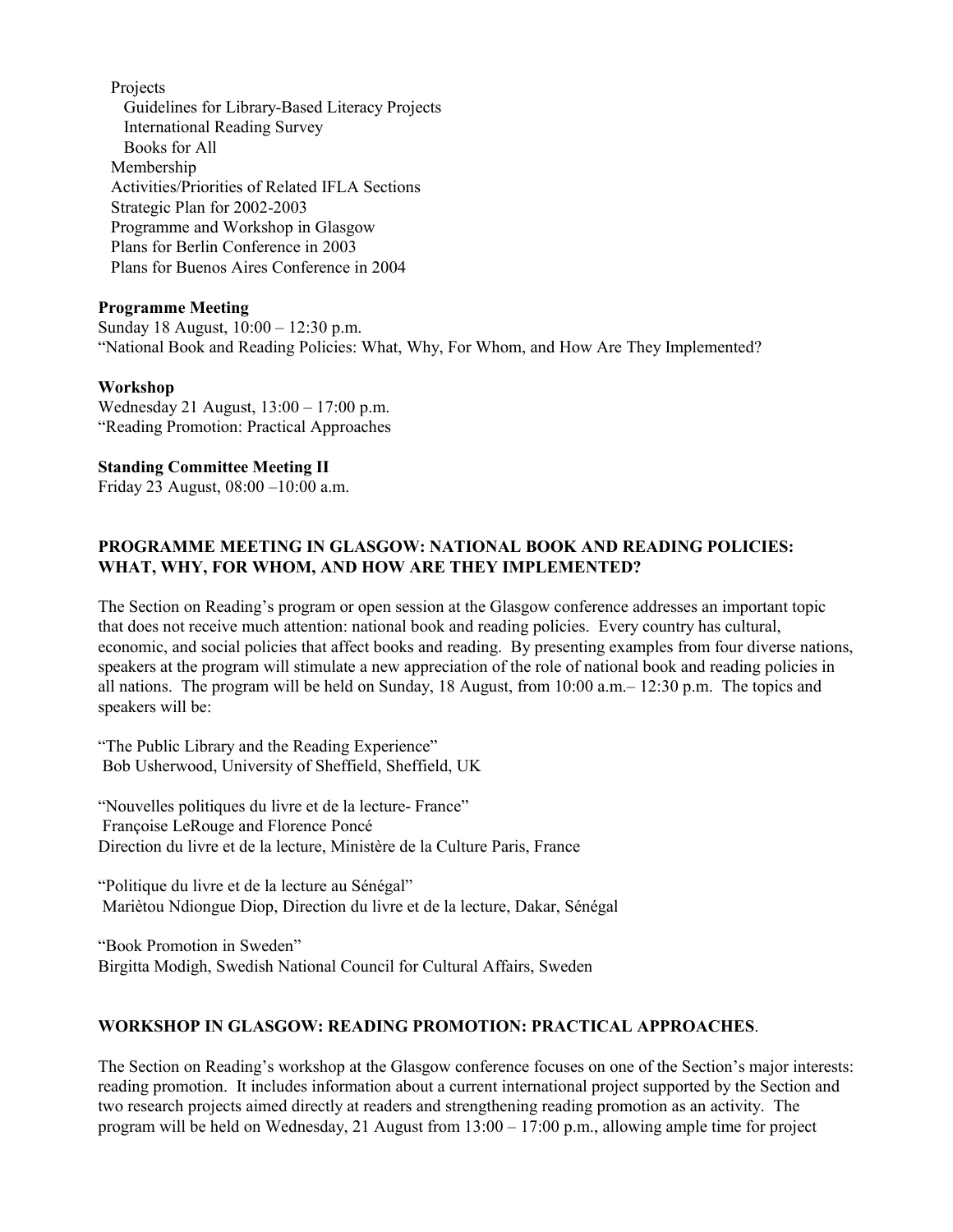Projects Guidelines for Library-Based Literacy Projects International Reading Survey Books for All Membership Activities/Priorities of Related IFLA Sections Strategic Plan for 2002-2003 Programme and Workshop in Glasgow Plans for Berlin Conference in 2003 Plans for Buenos Aires Conference in 2004

#### **Programme Meeting**

Sunday 18 August, 10:00 – 12:30 p.m. "National Book and Reading Policies: What, Why, For Whom, and How Are They Implemented?

#### **Workshop**

Wednesday 21 August, 13:00 – 17:00 p.m. "Reading Promotion: Practical Approaches

#### **Standing Committee Meeting II**

Friday 23 August, 08:00 –10:00 a.m.

# **PROGRAMME MEETING IN GLASGOW: NATIONAL BOOK AND READING POLICIES: WHAT, WHY, FOR WHOM, AND HOW ARE THEY IMPLEMENTED?**

The Section on Reading's program or open session at the Glasgow conference addresses an important topic that does not receive much attention: national book and reading policies. Every country has cultural, economic, and social policies that affect books and reading. By presenting examples from four diverse nations, speakers at the program will stimulate a new appreciation of the role of national book and reading policies in all nations. The program will be held on Sunday, 18 August, from  $10:00$  a.m.  $- 12:30$  p.m. The topics and speakers will be:

"The Public Library and the Reading Experience" Bob Usherwood, University of Sheffield, Sheffield, UK

"Nouvelles politiques du livre et de la lecture- France" Françoise LeRouge and Florence Poncé Direction du livre et de la lecture, Ministère de la Culture Paris, France

"Politique du livre et de la lecture au Sénégal" Mariètou Ndiongue Diop, Direction du livre et de la lecture, Dakar, Sénégal

"Book Promotion in Sweden" Birgitta Modigh, Swedish National Council for Cultural Affairs, Sweden

# **WORKSHOP IN GLASGOW: READING PROMOTION: PRACTICAL APPROACHES**.

The Section on Reading's workshop at the Glasgow conference focuses on one of the Section's major interests: reading promotion. It includes information about a current international project supported by the Section and two research projects aimed directly at readers and strengthening reading promotion as an activity. The program will be held on Wednesday, 21 August from 13:00 – 17:00 p.m., allowing ample time for project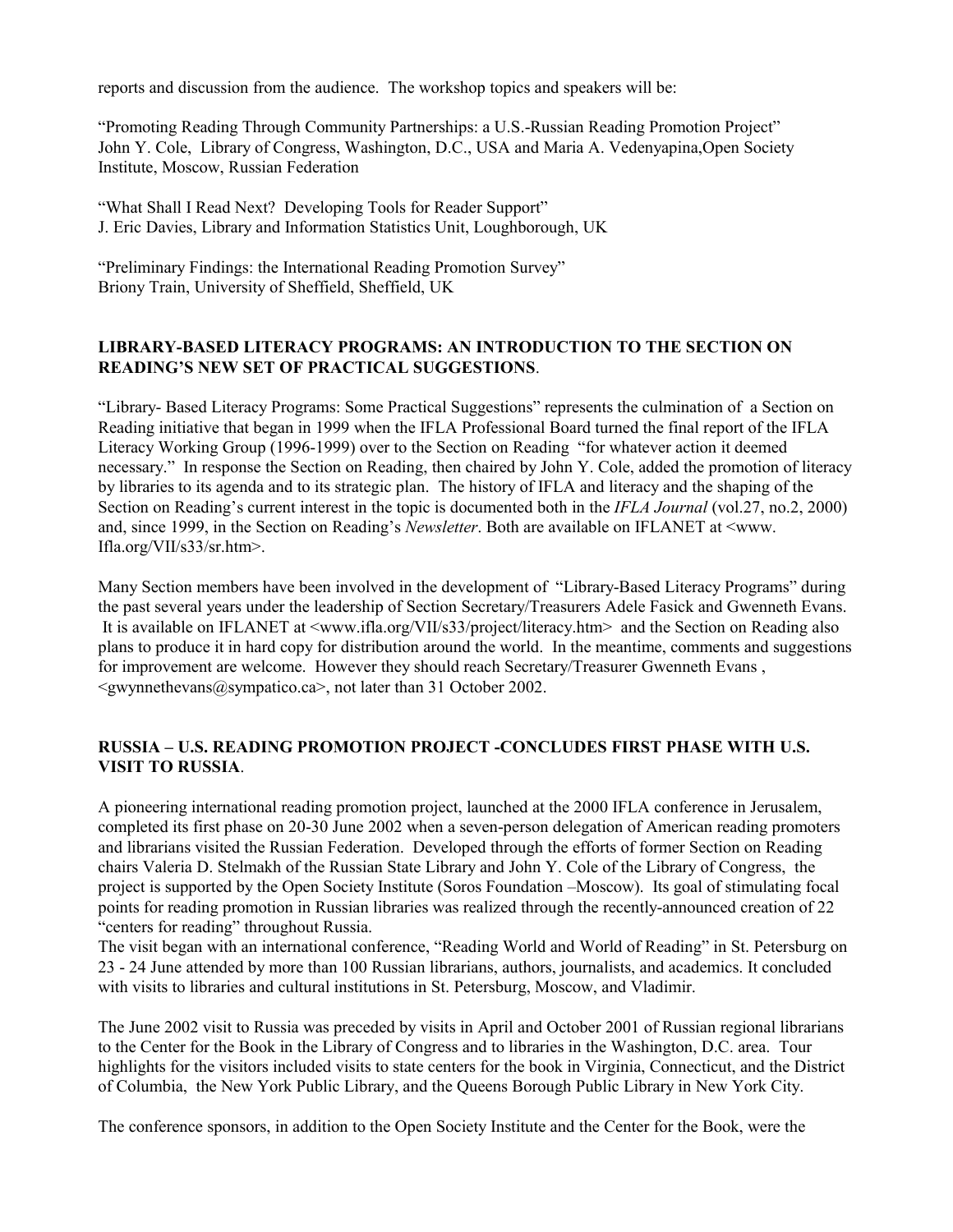reports and discussion from the audience. The workshop topics and speakers will be:

"Promoting Reading Through Community Partnerships: a U.S.-Russian Reading Promotion Project" John Y. Cole, Library of Congress, Washington, D.C., USA and Maria A. Vedenyapina,Open Society Institute, Moscow, Russian Federation

"What Shall I Read Next? Developing Tools for Reader Support" J. Eric Davies, Library and Information Statistics Unit, Loughborough, UK

"Preliminary Findings: the International Reading Promotion Survey" Briony Train, University of Sheffield, Sheffield, UK

# **LIBRARY-BASED LITERACY PROGRAMS: AN INTRODUCTION TO THE SECTION ON READING'S NEW SET OF PRACTICAL SUGGESTIONS**.

"Library- Based Literacy Programs: Some Practical Suggestions" represents the culmination of a Section on Reading initiative that began in 1999 when the IFLA Professional Board turned the final report of the IFLA Literacy Working Group (1996-1999) over to the Section on Reading "for whatever action it deemed necessary." In response the Section on Reading, then chaired by John Y. Cole, added the promotion of literacy by libraries to its agenda and to its strategic plan. The history of IFLA and literacy and the shaping of the Section on Reading's current interest in the topic is documented both in the *IFLA Journal* (vol.27, no.2, 2000) and, since 1999, in the Section on Reading's *Newsletter*. Both are available on IFLANET at <www. Ifla.org/VII/s33/sr.htm>.

Many Section members have been involved in the development of "Library-Based Literacy Programs" during the past several years under the leadership of Section Secretary/Treasurers Adele Fasick and Gwenneth Evans. It is available on IFLANET at <www.ifla.org/VII/s33/project/literacy.htm> and the Section on Reading also plans to produce it in hard copy for distribution around the world. In the meantime, comments and suggestions for improvement are welcome. However they should reach Secretary/Treasurer Gwenneth Evans ,  $\leq$ gwynnethevans $\omega$ sympatico.ca>, not later than 31 October 2002.

## **RUSSIA – U.S. READING PROMOTION PROJECT -CONCLUDES FIRST PHASE WITH U.S. VISIT TO RUSSIA**.

A pioneering international reading promotion project, launched at the 2000 IFLA conference in Jerusalem, completed its first phase on 20-30 June 2002 when a seven-person delegation of American reading promoters and librarians visited the Russian Federation. Developed through the efforts of former Section on Reading chairs Valeria D. Stelmakh of the Russian State Library and John Y. Cole of the Library of Congress, the project is supported by the Open Society Institute (Soros Foundation –Moscow). Its goal of stimulating focal points for reading promotion in Russian libraries was realized through the recently-announced creation of 22 "centers for reading" throughout Russia.

The visit began with an international conference, "Reading World and World of Reading" in St. Petersburg on 23 - 24 June attended by more than 100 Russian librarians, authors, journalists, and academics. It concluded with visits to libraries and cultural institutions in St. Petersburg, Moscow, and Vladimir.

The June 2002 visit to Russia was preceded by visits in April and October 2001 of Russian regional librarians to the Center for the Book in the Library of Congress and to libraries in the Washington, D.C. area. Tour highlights for the visitors included visits to state centers for the book in Virginia, Connecticut, and the District of Columbia, the New York Public Library, and the Queens Borough Public Library in New York City.

The conference sponsors, in addition to the Open Society Institute and the Center for the Book, were the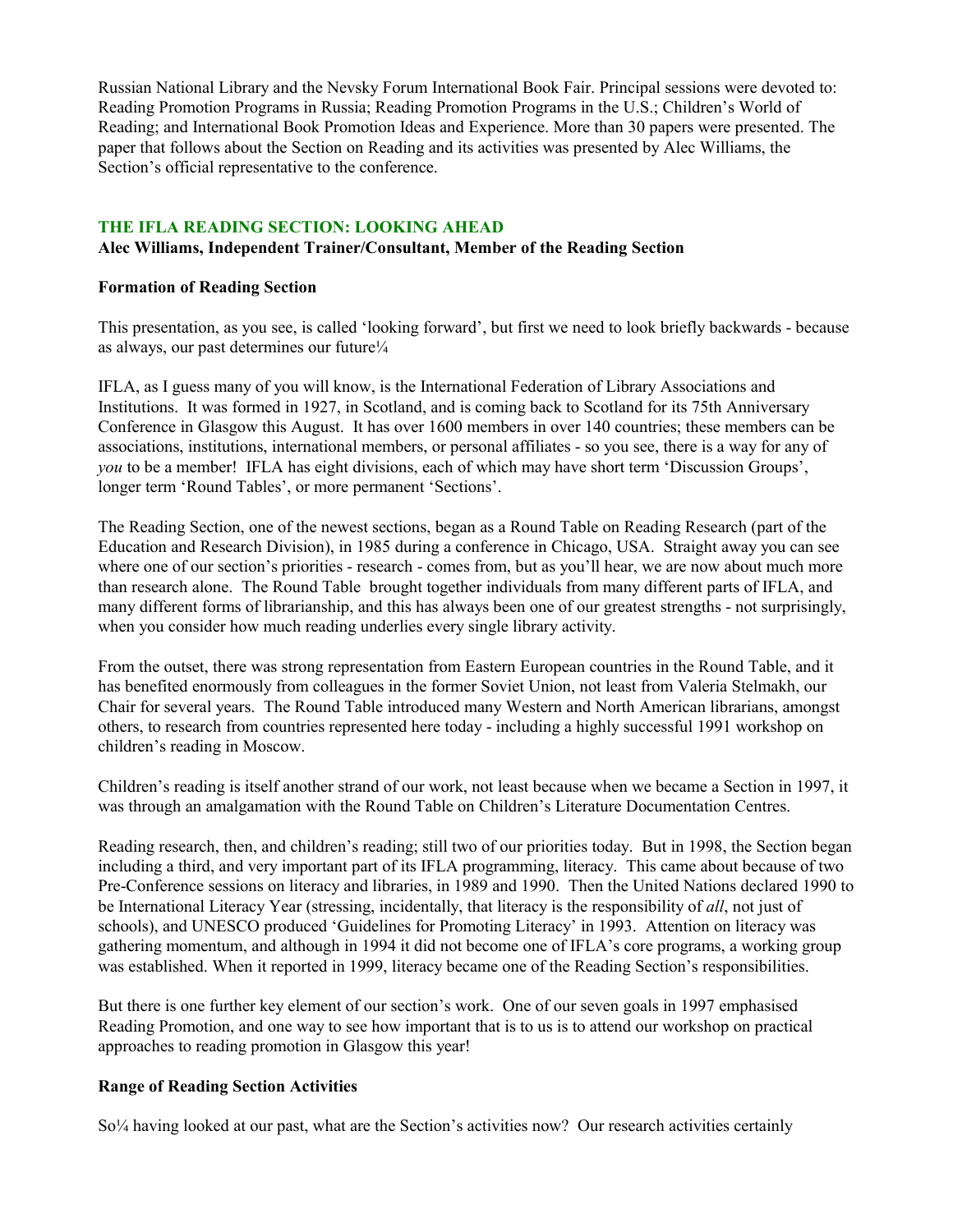Russian National Library and the Nevsky Forum International Book Fair. Principal sessions were devoted to: Reading Promotion Programs in Russia; Reading Promotion Programs in the U.S.; Children's World of Reading; and International Book Promotion Ideas and Experience. More than 30 papers were presented. The paper that follows about the Section on Reading and its activities was presented by Alec Williams, the Section's official representative to the conference.

# **THE IFLA READING SECTION: LOOKING AHEAD**

## **Alec Williams, Independent Trainer/Consultant, Member of the Reading Section**

#### **Formation of Reading Section**

This presentation, as you see, is called 'looking forward', but first we need to look briefly backwards - because as always, our past determines our future<sup> $1/4$ </sup>

IFLA, as I guess many of you will know, is the International Federation of Library Associations and Institutions. It was formed in 1927, in Scotland, and is coming back to Scotland for its 75th Anniversary Conference in Glasgow this August. It has over 1600 members in over 140 countries; these members can be associations, institutions, international members, or personal affiliates - so you see, there is a way for any of *you* to be a member! IFLA has eight divisions, each of which may have short term 'Discussion Groups', longer term 'Round Tables', or more permanent 'Sections'.

The Reading Section, one of the newest sections, began as a Round Table on Reading Research (part of the Education and Research Division), in 1985 during a conference in Chicago, USA. Straight away you can see where one of our section's priorities - research - comes from, but as you'll hear, we are now about much more than research alone. The Round Table brought together individuals from many different parts of IFLA, and many different forms of librarianship, and this has always been one of our greatest strengths - not surprisingly, when you consider how much reading underlies every single library activity.

From the outset, there was strong representation from Eastern European countries in the Round Table, and it has benefited enormously from colleagues in the former Soviet Union, not least from Valeria Stelmakh, our Chair for several years. The Round Table introduced many Western and North American librarians, amongst others, to research from countries represented here today - including a highly successful 1991 workshop on children's reading in Moscow.

Children's reading is itself another strand of our work, not least because when we became a Section in 1997, it was through an amalgamation with the Round Table on Children's Literature Documentation Centres.

Reading research, then, and children's reading; still two of our priorities today. But in 1998, the Section began including a third, and very important part of its IFLA programming, literacy. This came about because of two Pre-Conference sessions on literacy and libraries, in 1989 and 1990. Then the United Nations declared 1990 to be International Literacy Year (stressing, incidentally, that literacy is the responsibility of *all*, not just of schools), and UNESCO produced 'Guidelines for Promoting Literacy' in 1993. Attention on literacy was gathering momentum, and although in 1994 it did not become one of IFLA's core programs, a working group was established. When it reported in 1999, literacy became one of the Reading Section's responsibilities.

But there is one further key element of our section's work. One of our seven goals in 1997 emphasised Reading Promotion, and one way to see how important that is to us is to attend our workshop on practical approaches to reading promotion in Glasgow this year!

## **Range of Reading Section Activities**

So¼ having looked at our past, what are the Section's activities now? Our research activities certainly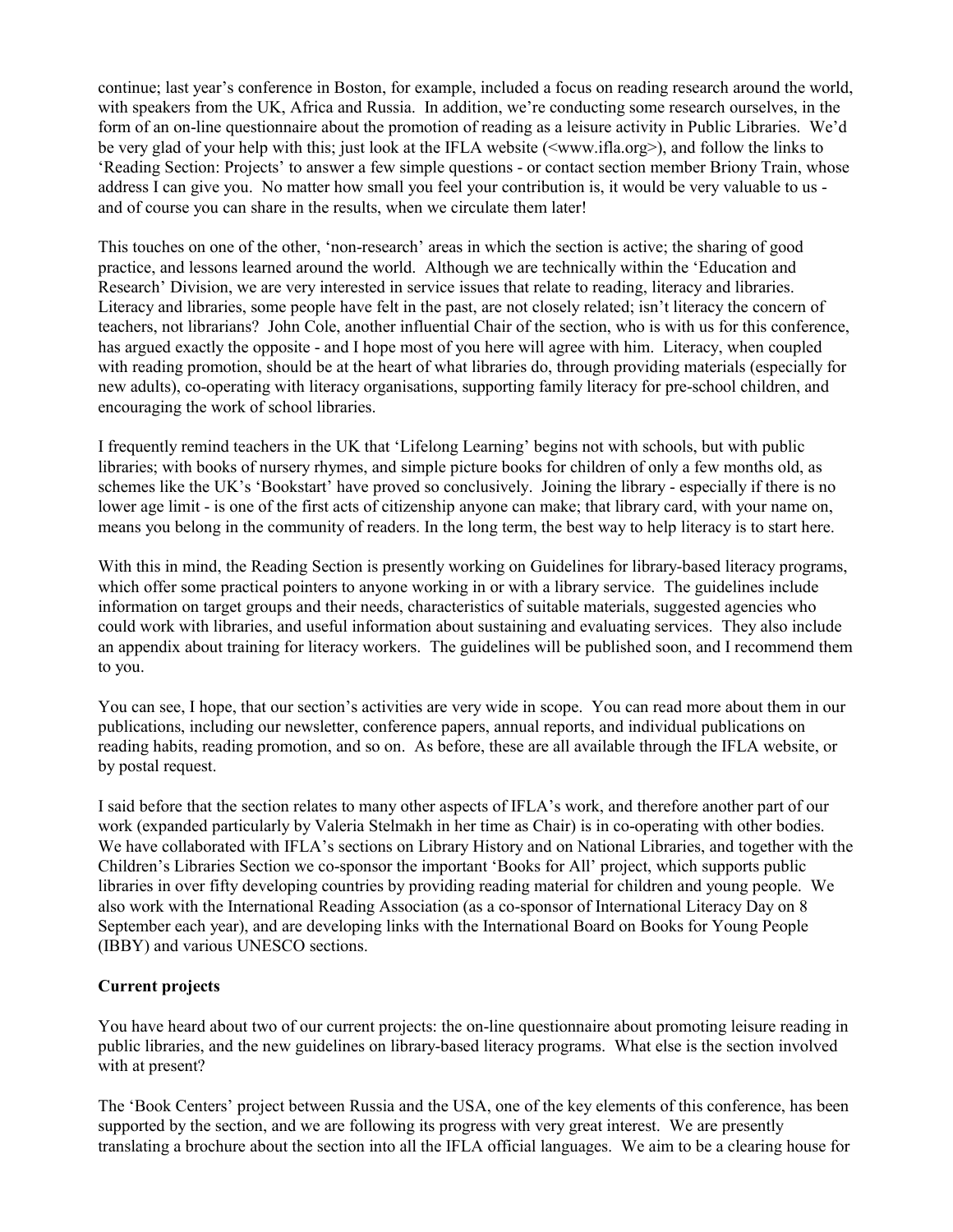continue; last year's conference in Boston, for example, included a focus on reading research around the world, with speakers from the UK, Africa and Russia. In addition, we're conducting some research ourselves, in the form of an on-line questionnaire about the promotion of reading as a leisure activity in Public Libraries. We'd be very glad of your help with this; just look at the IFLA website (<www.ifla.org>), and follow the links to 'Reading Section: Projects' to answer a few simple questions - or contact section member Briony Train, whose address I can give you. No matter how small you feel your contribution is, it would be very valuable to us and of course you can share in the results, when we circulate them later!

This touches on one of the other, 'non-research' areas in which the section is active; the sharing of good practice, and lessons learned around the world. Although we are technically within the 'Education and Research' Division, we are very interested in service issues that relate to reading, literacy and libraries. Literacy and libraries, some people have felt in the past, are not closely related; isn't literacy the concern of teachers, not librarians? John Cole, another influential Chair of the section, who is with us for this conference, has argued exactly the opposite - and I hope most of you here will agree with him. Literacy, when coupled with reading promotion, should be at the heart of what libraries do, through providing materials (especially for new adults), co-operating with literacy organisations, supporting family literacy for pre-school children, and encouraging the work of school libraries.

I frequently remind teachers in the UK that 'Lifelong Learning' begins not with schools, but with public libraries; with books of nursery rhymes, and simple picture books for children of only a few months old, as schemes like the UK's 'Bookstart' have proved so conclusively. Joining the library - especially if there is no lower age limit - is one of the first acts of citizenship anyone can make; that library card, with your name on, means you belong in the community of readers. In the long term, the best way to help literacy is to start here.

With this in mind, the Reading Section is presently working on Guidelines for library-based literacy programs, which offer some practical pointers to anyone working in or with a library service. The guidelines include information on target groups and their needs, characteristics of suitable materials, suggested agencies who could work with libraries, and useful information about sustaining and evaluating services. They also include an appendix about training for literacy workers. The guidelines will be published soon, and I recommend them to you.

You can see, I hope, that our section's activities are very wide in scope. You can read more about them in our publications, including our newsletter, conference papers, annual reports, and individual publications on reading habits, reading promotion, and so on. As before, these are all available through the IFLA website, or by postal request.

I said before that the section relates to many other aspects of IFLA's work, and therefore another part of our work (expanded particularly by Valeria Stelmakh in her time as Chair) is in co-operating with other bodies. We have collaborated with IFLA's sections on Library History and on National Libraries, and together with the Children's Libraries Section we co-sponsor the important 'Books for All' project, which supports public libraries in over fifty developing countries by providing reading material for children and young people. We also work with the International Reading Association (as a co-sponsor of International Literacy Day on 8 September each year), and are developing links with the International Board on Books for Young People (IBBY) and various UNESCO sections.

## **Current projects**

You have heard about two of our current projects: the on-line questionnaire about promoting leisure reading in public libraries, and the new guidelines on library-based literacy programs. What else is the section involved with at present?

The 'Book Centers' project between Russia and the USA, one of the key elements of this conference, has been supported by the section, and we are following its progress with very great interest. We are presently translating a brochure about the section into all the IFLA official languages. We aim to be a clearing house for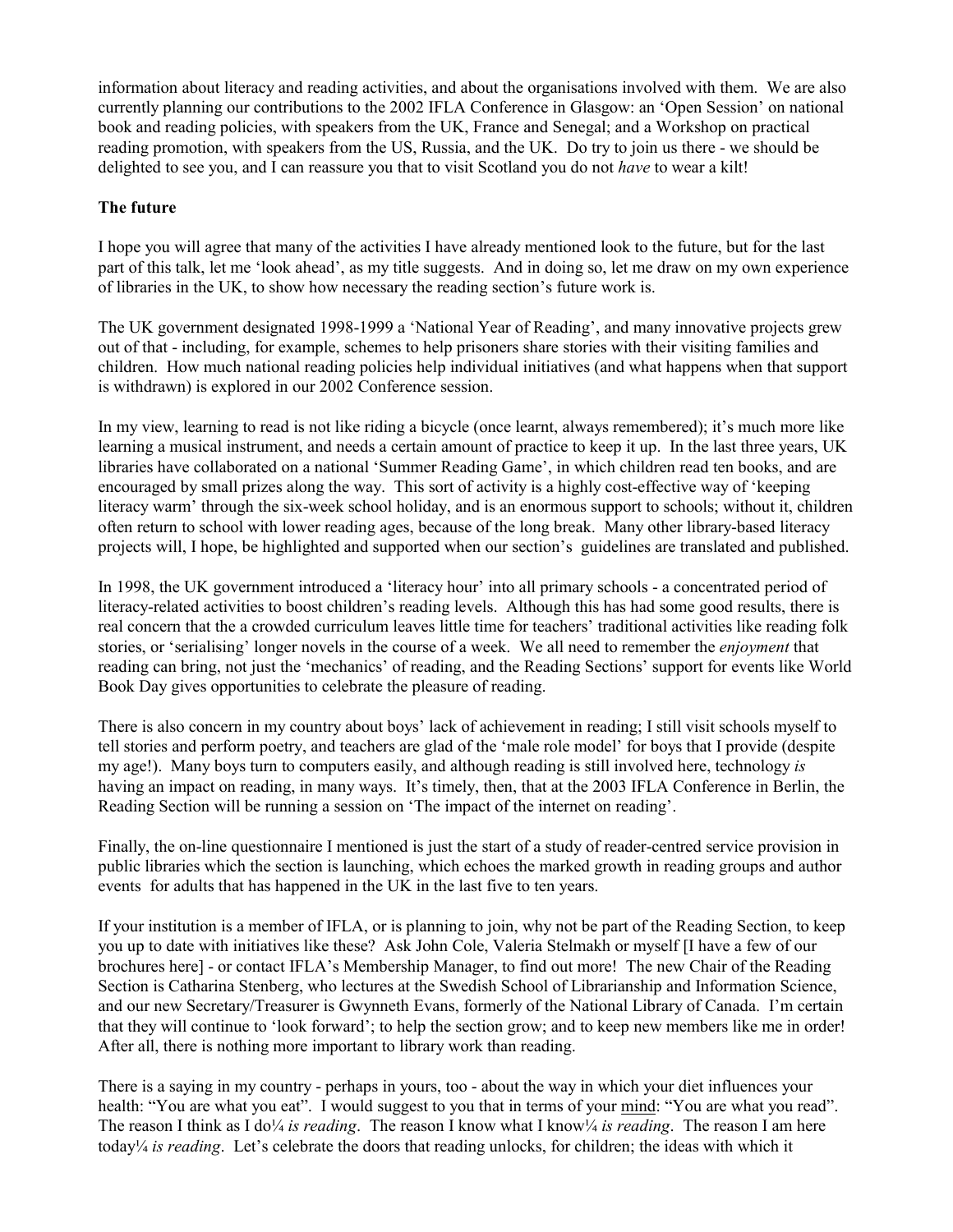information about literacy and reading activities, and about the organisations involved with them. We are also currently planning our contributions to the 2002 IFLA Conference in Glasgow: an 'Open Session' on national book and reading policies, with speakers from the UK, France and Senegal; and a Workshop on practical reading promotion, with speakers from the US, Russia, and the UK. Do try to join us there - we should be delighted to see you, and I can reassure you that to visit Scotland you do not *have* to wear a kilt!

# **The future**

I hope you will agree that many of the activities I have already mentioned look to the future, but for the last part of this talk, let me 'look ahead', as my title suggests. And in doing so, let me draw on my own experience of libraries in the UK, to show how necessary the reading section's future work is.

The UK government designated 1998-1999 a 'National Year of Reading', and many innovative projects grew out of that - including, for example, schemes to help prisoners share stories with their visiting families and children. How much national reading policies help individual initiatives (and what happens when that support is withdrawn) is explored in our 2002 Conference session.

In my view, learning to read is not like riding a bicycle (once learnt, always remembered); it's much more like learning a musical instrument, and needs a certain amount of practice to keep it up. In the last three years, UK libraries have collaborated on a national 'Summer Reading Game', in which children read ten books, and are encouraged by small prizes along the way. This sort of activity is a highly cost-effective way of 'keeping literacy warm' through the six-week school holiday, and is an enormous support to schools; without it, children often return to school with lower reading ages, because of the long break. Many other library-based literacy projects will, I hope, be highlighted and supported when our section's guidelines are translated and published.

In 1998, the UK government introduced a 'literacy hour' into all primary schools - a concentrated period of literacy-related activities to boost children's reading levels. Although this has had some good results, there is real concern that the a crowded curriculum leaves little time for teachers' traditional activities like reading folk stories, or 'serialising' longer novels in the course of a week. We all need to remember the *enjoyment* that reading can bring, not just the 'mechanics' of reading, and the Reading Sections' support for events like World Book Day gives opportunities to celebrate the pleasure of reading.

There is also concern in my country about boys' lack of achievement in reading; I still visit schools myself to tell stories and perform poetry, and teachers are glad of the 'male role model' for boys that I provide (despite my age!). Many boys turn to computers easily, and although reading is still involved here, technology *is* having an impact on reading, in many ways. It's timely, then, that at the 2003 IFLA Conference in Berlin, the Reading Section will be running a session on 'The impact of the internet on reading'.

Finally, the on-line questionnaire I mentioned is just the start of a study of reader-centred service provision in public libraries which the section is launching, which echoes the marked growth in reading groups and author events for adults that has happened in the UK in the last five to ten years.

If your institution is a member of IFLA, or is planning to join, why not be part of the Reading Section, to keep you up to date with initiatives like these? Ask John Cole, Valeria Stelmakh or myself [I have a few of our brochures here] - or contact IFLA's Membership Manager, to find out more! The new Chair of the Reading Section is Catharina Stenberg, who lectures at the Swedish School of Librarianship and Information Science, and our new Secretary/Treasurer is Gwynneth Evans, formerly of the National Library of Canada. I'm certain that they will continue to 'look forward'; to help the section grow; and to keep new members like me in order! After all, there is nothing more important to library work than reading.

There is a saying in my country - perhaps in yours, too - about the way in which your diet influences your health: "You are what you eat". I would suggest to you that in terms of your mind: "You are what you read". The reason I think as I do<sup> $\frac{1}{4}$ </sup> *is reading*. The reason I know what I know<sup> $\frac{1}{4}$ </sup> *is reading*. The reason I am here today¼ *is reading*. Let's celebrate the doors that reading unlocks, for children; the ideas with which it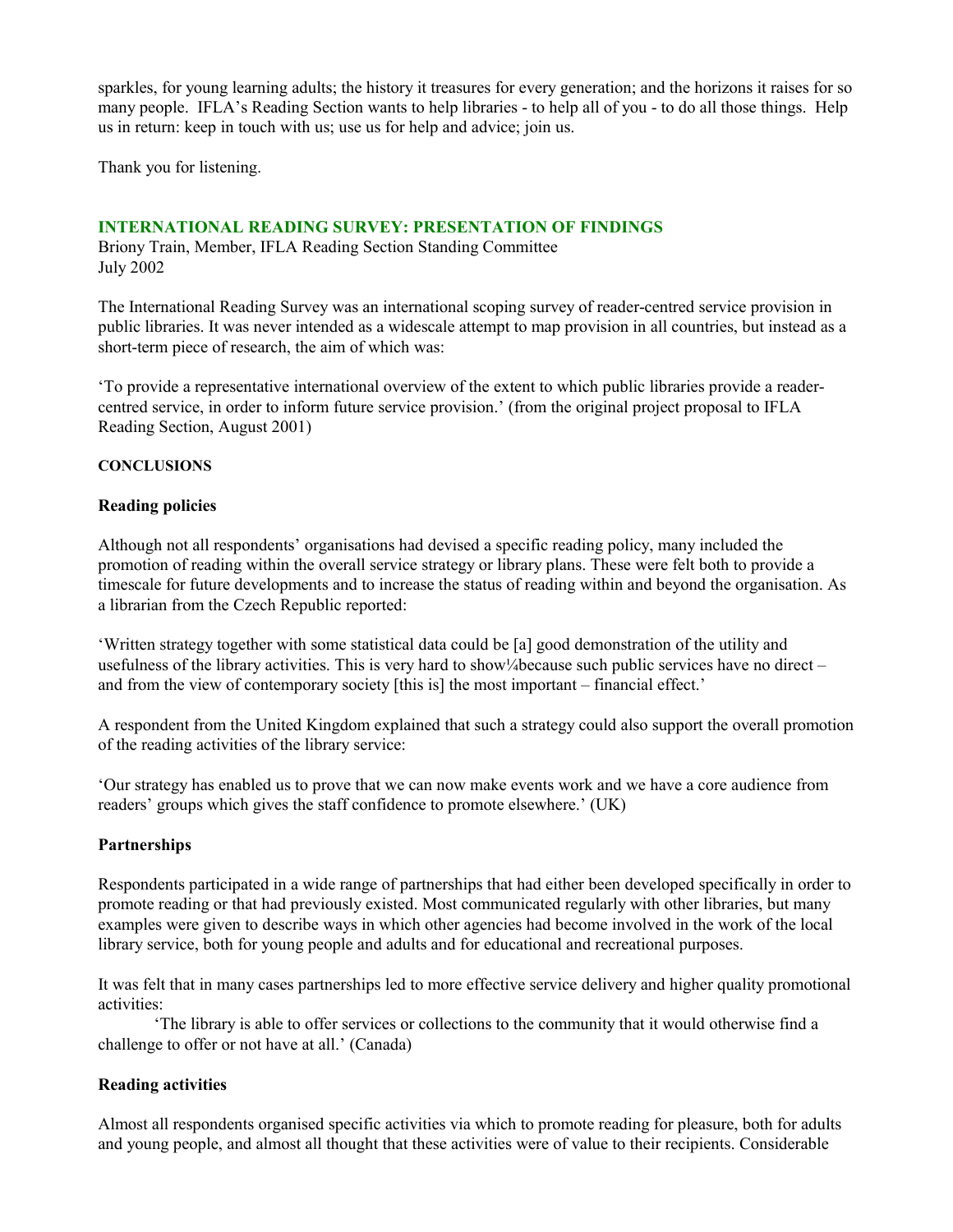sparkles, for young learning adults; the history it treasures for every generation; and the horizons it raises for so many people. IFLA's Reading Section wants to help libraries - to help all of you - to do all those things. Help us in return: keep in touch with us; use us for help and advice; join us.

Thank you for listening.

# **INTERNATIONAL READING SURVEY: PRESENTATION OF FINDINGS**

Briony Train, Member, IFLA Reading Section Standing Committee July 2002

The International Reading Survey was an international scoping survey of reader-centred service provision in public libraries. It was never intended as a widescale attempt to map provision in all countries, but instead as a short-term piece of research, the aim of which was:

'To provide a representative international overview of the extent to which public libraries provide a readercentred service, in order to inform future service provision.' (from the original project proposal to IFLA Reading Section, August 2001)

#### **CONCLUSIONS**

#### **Reading policies**

Although not all respondents' organisations had devised a specific reading policy, many included the promotion of reading within the overall service strategy or library plans. These were felt both to provide a timescale for future developments and to increase the status of reading within and beyond the organisation. As a librarian from the Czech Republic reported:

'Written strategy together with some statistical data could be [a] good demonstration of the utility and usefulness of the library activities. This is very hard to show¼ because such public services have no direct – and from the view of contemporary society [this is] the most important – financial effect.'

A respondent from the United Kingdom explained that such a strategy could also support the overall promotion of the reading activities of the library service:

'Our strategy has enabled us to prove that we can now make events work and we have a core audience from readers' groups which gives the staff confidence to promote elsewhere.' (UK)

## **Partnerships**

Respondents participated in a wide range of partnerships that had either been developed specifically in order to promote reading or that had previously existed. Most communicated regularly with other libraries, but many examples were given to describe ways in which other agencies had become involved in the work of the local library service, both for young people and adults and for educational and recreational purposes.

It was felt that in many cases partnerships led to more effective service delivery and higher quality promotional activities:

'The library is able to offer services or collections to the community that it would otherwise find a challenge to offer or not have at all.' (Canada)

## **Reading activities**

Almost all respondents organised specific activities via which to promote reading for pleasure, both for adults and young people, and almost all thought that these activities were of value to their recipients. Considerable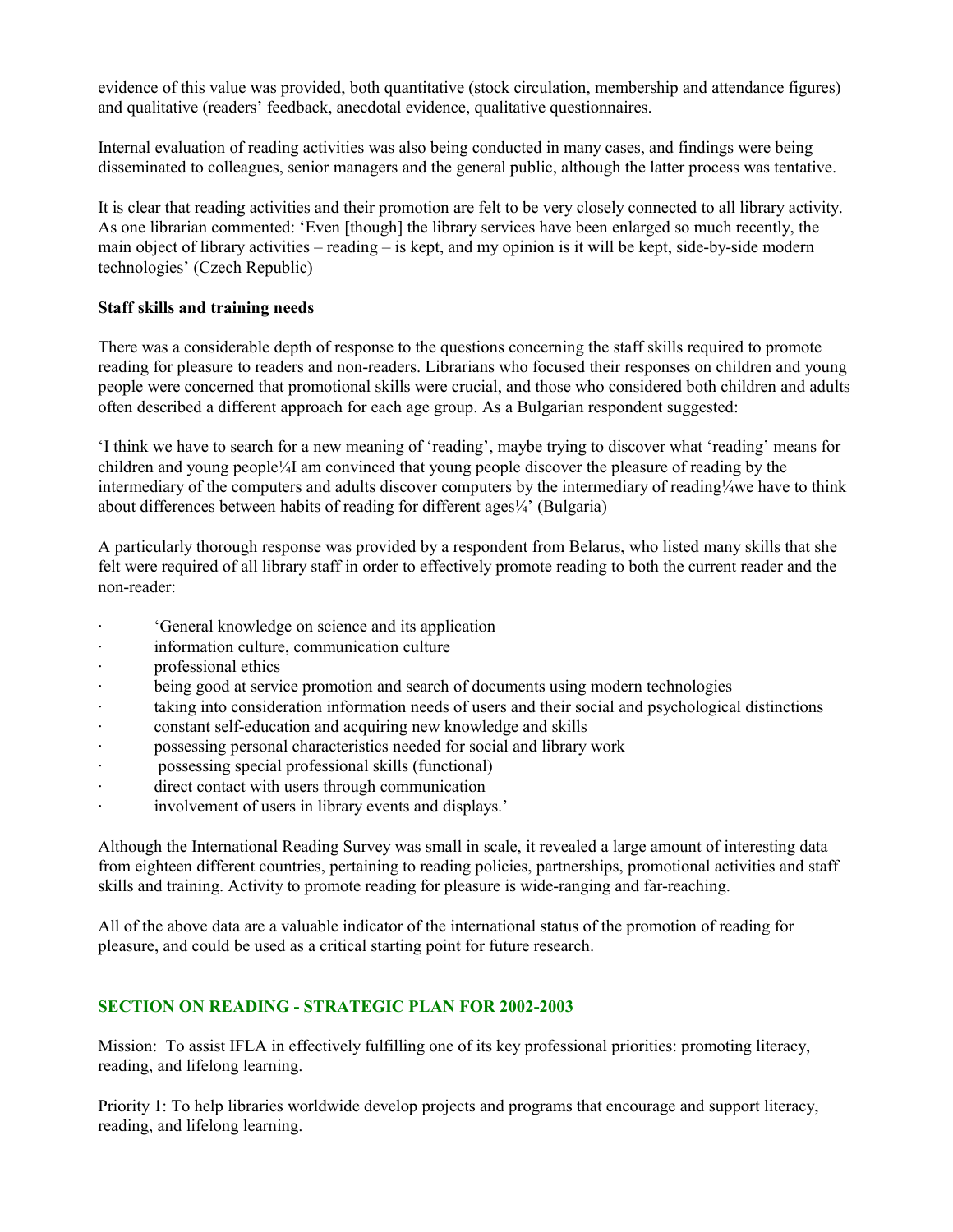evidence of this value was provided, both quantitative (stock circulation, membership and attendance figures) and qualitative (readers' feedback, anecdotal evidence, qualitative questionnaires.

Internal evaluation of reading activities was also being conducted in many cases, and findings were being disseminated to colleagues, senior managers and the general public, although the latter process was tentative.

It is clear that reading activities and their promotion are felt to be very closely connected to all library activity. As one librarian commented: 'Even [though] the library services have been enlarged so much recently, the main object of library activities – reading – is kept, and my opinion is it will be kept, side-by-side modern technologies' (Czech Republic)

# **Staff skills and training needs**

There was a considerable depth of response to the questions concerning the staff skills required to promote reading for pleasure to readers and non-readers. Librarians who focused their responses on children and young people were concerned that promotional skills were crucial, and those who considered both children and adults often described a different approach for each age group. As a Bulgarian respondent suggested:

'I think we have to search for a new meaning of 'reading', maybe trying to discover what 'reading' means for children and young people¼I am convinced that young people discover the pleasure of reading by the intermediary of the computers and adults discover computers by the intermediary of reading¼we have to think about differences between habits of reading for different ages $\frac{1}{4}$  (Bulgaria)

A particularly thorough response was provided by a respondent from Belarus, who listed many skills that she felt were required of all library staff in order to effectively promote reading to both the current reader and the non-reader:

- · 'General knowledge on science and its application
- information culture, communication culture
- · professional ethics
- being good at service promotion and search of documents using modern technologies
- · taking into consideration information needs of users and their social and psychological distinctions
- constant self-education and acquiring new knowledge and skills
- · possessing personal characteristics needed for social and library work
- possessing special professional skills (functional)
- direct contact with users through communication
- involvement of users in library events and displays.'

Although the International Reading Survey was small in scale, it revealed a large amount of interesting data from eighteen different countries, pertaining to reading policies, partnerships, promotional activities and staff skills and training. Activity to promote reading for pleasure is wide-ranging and far-reaching.

All of the above data are a valuable indicator of the international status of the promotion of reading for pleasure, and could be used as a critical starting point for future research.

# **SECTION ON READING - STRATEGIC PLAN FOR 2002-2003**

Mission: To assist IFLA in effectively fulfilling one of its key professional priorities: promoting literacy, reading, and lifelong learning.

Priority 1: To help libraries worldwide develop projects and programs that encourage and support literacy, reading, and lifelong learning.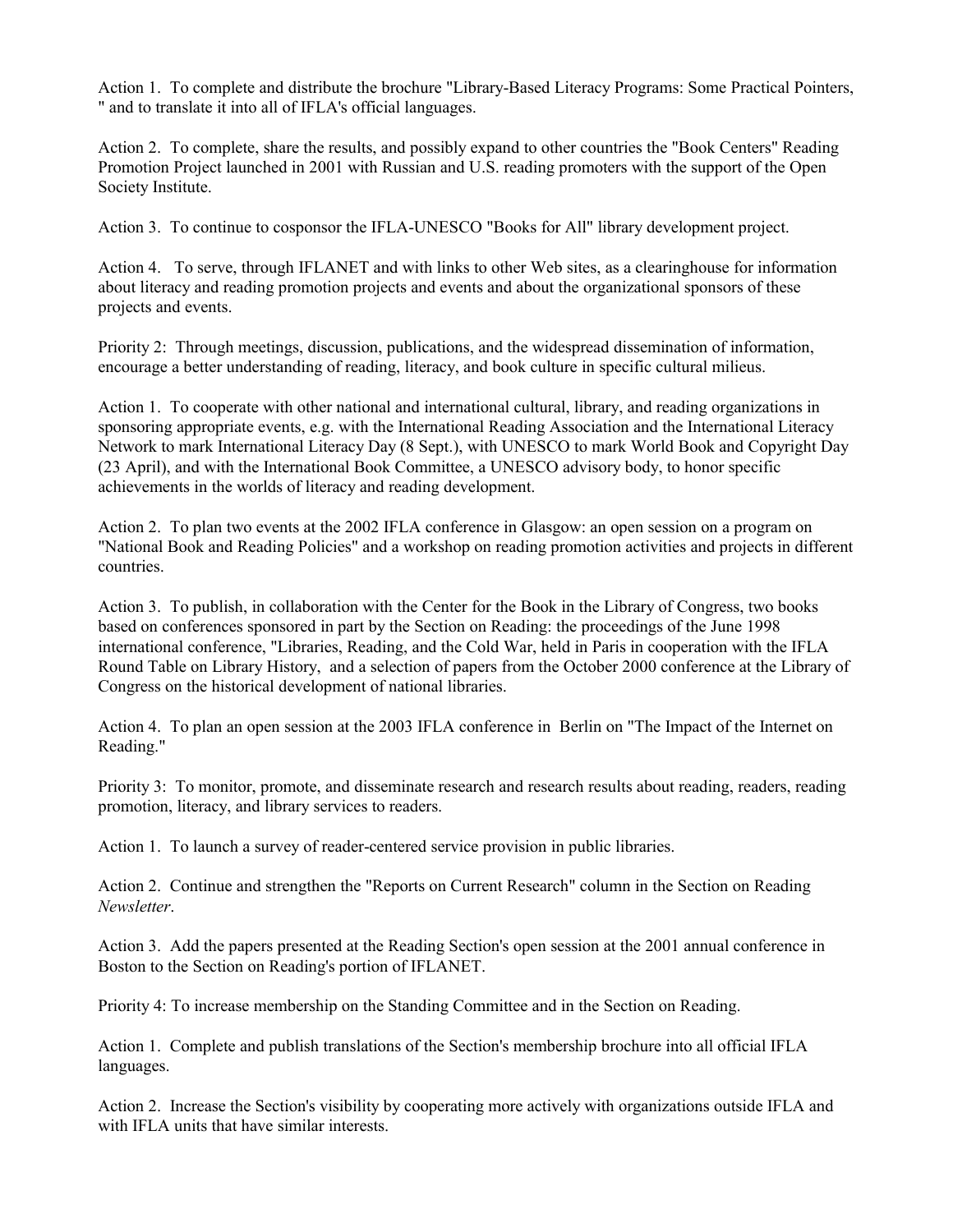Action 1. To complete and distribute the brochure "Library-Based Literacy Programs: Some Practical Pointers, " and to translate it into all of IFLA's official languages.

Action 2. To complete, share the results, and possibly expand to other countries the "Book Centers" Reading Promotion Project launched in 2001 with Russian and U.S. reading promoters with the support of the Open Society Institute.

Action 3. To continue to cosponsor the IFLA-UNESCO "Books for All" library development project.

Action 4. To serve, through IFLANET and with links to other Web sites, as a clearinghouse for information about literacy and reading promotion projects and events and about the organizational sponsors of these projects and events.

Priority 2: Through meetings, discussion, publications, and the widespread dissemination of information, encourage a better understanding of reading, literacy, and book culture in specific cultural milieus.

Action 1. To cooperate with other national and international cultural, library, and reading organizations in sponsoring appropriate events, e.g. with the International Reading Association and the International Literacy Network to mark International Literacy Day (8 Sept.), with UNESCO to mark World Book and Copyright Day (23 April), and with the International Book Committee, a UNESCO advisory body, to honor specific achievements in the worlds of literacy and reading development.

Action 2. To plan two events at the 2002 IFLA conference in Glasgow: an open session on a program on "National Book and Reading Policies" and a workshop on reading promotion activities and projects in different countries.

Action 3. To publish, in collaboration with the Center for the Book in the Library of Congress, two books based on conferences sponsored in part by the Section on Reading: the proceedings of the June 1998 international conference, "Libraries, Reading, and the Cold War, held in Paris in cooperation with the IFLA Round Table on Library History, and a selection of papers from the October 2000 conference at the Library of Congress on the historical development of national libraries.

Action 4. To plan an open session at the 2003 IFLA conference in Berlin on "The Impact of the Internet on Reading."

Priority 3: To monitor, promote, and disseminate research and research results about reading, readers, reading promotion, literacy, and library services to readers.

Action 1. To launch a survey of reader-centered service provision in public libraries.

Action 2. Continue and strengthen the "Reports on Current Research" column in the Section on Reading *Newsletter*.

Action 3. Add the papers presented at the Reading Section's open session at the 2001 annual conference in Boston to the Section on Reading's portion of IFLANET.

Priority 4: To increase membership on the Standing Committee and in the Section on Reading.

Action 1. Complete and publish translations of the Section's membership brochure into all official IFLA languages.

Action 2. Increase the Section's visibility by cooperating more actively with organizations outside IFLA and with IFLA units that have similar interests.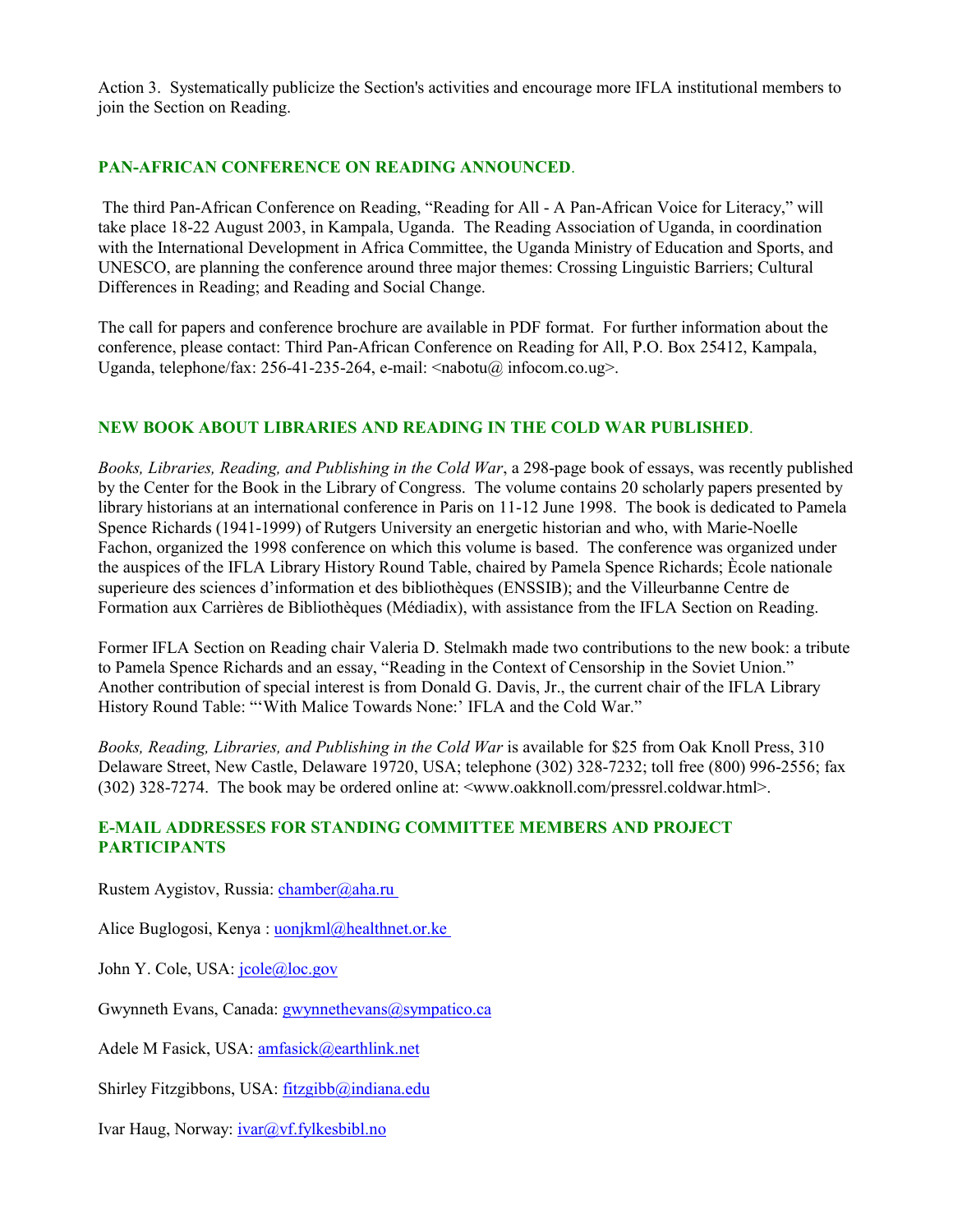Action 3. Systematically publicize the Section's activities and encourage more IFLA institutional members to join the Section on Reading.

# **PAN-AFRICAN CONFERENCE ON READING ANNOUNCED**.

 The third Pan-African Conference on Reading, "Reading for All - A Pan-African Voice for Literacy," will take place 18-22 August 2003, in Kampala, Uganda. The Reading Association of Uganda, in coordination with the International Development in Africa Committee, the Uganda Ministry of Education and Sports, and UNESCO, are planning the conference around three major themes: Crossing Linguistic Barriers; Cultural Differences in Reading; and Reading and Social Change.

The call for papers and conference brochure are available in PDF format. For further information about the conference, please contact: Third Pan-African Conference on Reading for All, P.O. Box 25412, Kampala, Uganda, telephone/fax: 256-41-235-264, e-mail: <nabotu@ infocom.co.ug>.

# **NEW BOOK ABOUT LIBRARIES AND READING IN THE COLD WAR PUBLISHED**.

*Books, Libraries, Reading, and Publishing in the Cold War*, a 298-page book of essays, was recently published by the Center for the Book in the Library of Congress. The volume contains 20 scholarly papers presented by library historians at an international conference in Paris on 11-12 June 1998. The book is dedicated to Pamela Spence Richards (1941-1999) of Rutgers University an energetic historian and who, with Marie-Noelle Fachon, organized the 1998 conference on which this volume is based. The conference was organized under the auspices of the IFLA Library History Round Table, chaired by Pamela Spence Richards; Ècole nationale superieure des sciences d'information et des bibliothèques (ENSSIB); and the Villeurbanne Centre de Formation aux Carrières de Bibliothèques (Médiadix), with assistance from the IFLA Section on Reading.

Former IFLA Section on Reading chair Valeria D. Stelmakh made two contributions to the new book: a tribute to Pamela Spence Richards and an essay, "Reading in the Context of Censorship in the Soviet Union." Another contribution of special interest is from Donald G. Davis, Jr., the current chair of the IFLA Library History Round Table: "'With Malice Towards None:' IFLA and the Cold War."

*Books, Reading, Libraries, and Publishing in the Cold War* is available for \$25 from Oak Knoll Press, 310 Delaware Street, New Castle, Delaware 19720, USA; telephone (302) 328-7232; toll free (800) 996-2556; fax (302) 328-7274. The book may be ordered online at: <www.oakknoll.com/pressrel.coldwar.html>.

## **E-MAIL ADDRESSES FOR STANDING COMMITTEE MEMBERS AND PROJECT PARTICIPANTS**

Rustem Aygistov, Russia: *chamber@aha.ru* 

Alice Buglogosi, Kenya : uonjkml@healthnet.or.ke

John Y. Cole, USA: *[jcole@loc.gov](mailto:jcole@loc.gov)* 

Gwynneth Evans, Canada: **[gwynnethevans@sympatico.ca](mailto:gwynnethevans@sympatico.ca)** 

Adele M Fasick, USA: [amfasick@earthlink.net](mailto:amfasick@earthlink.net)

Shirley Fitzgibbons, USA: [fitzgibb@indiana.edu](mailto:fitzgibb@indiana.edu)

Ivar Haug, Norway: [ivar@vf.fylkesbibl.no](mailto:ivar@vf.fylkesbibl.no)